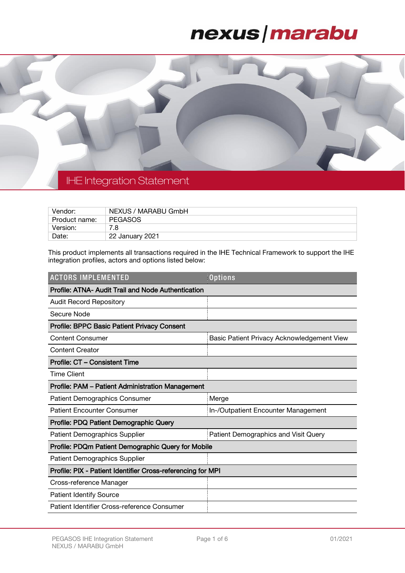### nexus | marabu



### IHE Integration Statement

| Vendor:       | NEXUS / MARABU GmbH |
|---------------|---------------------|
| Product name: | <b>PEGASOS</b>      |
| Version:      | 7.8                 |
| Date:         | 22 January 2021     |

This product implements all transactions required in the IHE Technical Framework to support the IHE integration profiles, actors and options listed below:

| <b>ACTORS IMPLEMENTED</b>                                   | <b>Options</b>                             |  |  |  |
|-------------------------------------------------------------|--------------------------------------------|--|--|--|
| Profile: ATNA- Audit Trail and Node Authentication          |                                            |  |  |  |
| <b>Audit Record Repository</b>                              |                                            |  |  |  |
| Secure Node                                                 |                                            |  |  |  |
| <b>Profile: BPPC Basic Patient Privacy Consent</b>          |                                            |  |  |  |
| <b>Content Consumer</b>                                     | Basic Patient Privacy Acknowledgement View |  |  |  |
| <b>Content Creator</b>                                      |                                            |  |  |  |
| Profile: CT - Consistent Time                               |                                            |  |  |  |
| <b>Time Client</b>                                          |                                            |  |  |  |
| Profile: PAM - Patient Administration Management            |                                            |  |  |  |
| <b>Patient Demographics Consumer</b>                        | Merge                                      |  |  |  |
| <b>Patient Encounter Consumer</b>                           | In-/Outpatient Encounter Management        |  |  |  |
| Profile: PDQ Patient Demographic Query                      |                                            |  |  |  |
| <b>Patient Demographics Supplier</b>                        | Patient Demographics and Visit Query       |  |  |  |
| Profile: PDQm Patient Demographic Query for Mobile          |                                            |  |  |  |
| Patient Demographics Supplier                               |                                            |  |  |  |
| Profile: PIX - Patient Identifier Cross-referencing for MPI |                                            |  |  |  |
| Cross-reference Manager                                     |                                            |  |  |  |
| <b>Patient Identify Source</b>                              |                                            |  |  |  |
| Patient Identifier Cross-reference Consumer                 |                                            |  |  |  |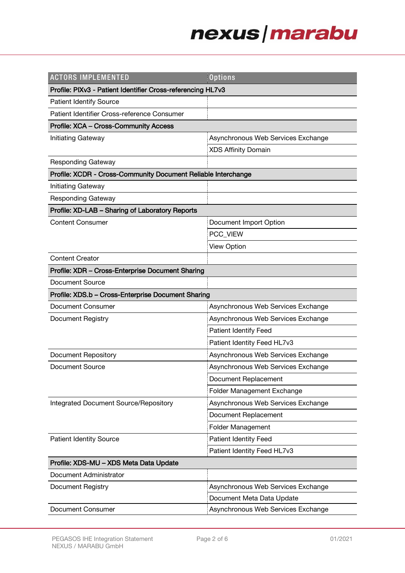# nexus/marabu

| <b>ACTORS IMPLEMENTED</b>                                     | <b>Options</b>                     |  |  |  |
|---------------------------------------------------------------|------------------------------------|--|--|--|
| Profile: PIXv3 - Patient Identifier Cross-referencing HL7v3   |                                    |  |  |  |
| <b>Patient Identify Source</b>                                |                                    |  |  |  |
| Patient Identifier Cross-reference Consumer                   |                                    |  |  |  |
| <b>Profile: XCA - Cross-Community Access</b>                  |                                    |  |  |  |
| <b>Initiating Gateway</b>                                     | Asynchronous Web Services Exchange |  |  |  |
|                                                               | <b>XDS Affinity Domain</b>         |  |  |  |
| <b>Responding Gateway</b>                                     |                                    |  |  |  |
| Profile: XCDR - Cross-Community Document Reliable Interchange |                                    |  |  |  |
| <b>Initiating Gateway</b>                                     |                                    |  |  |  |
| <b>Responding Gateway</b>                                     |                                    |  |  |  |
| Profile: XD-LAB - Sharing of Laboratory Reports               |                                    |  |  |  |
| <b>Content Consumer</b>                                       | Document Import Option             |  |  |  |
|                                                               | PCC_VIEW                           |  |  |  |
|                                                               | <b>View Option</b>                 |  |  |  |
| <b>Content Creator</b>                                        |                                    |  |  |  |
| Profile: XDR - Cross-Enterprise Document Sharing              |                                    |  |  |  |
| Document Source                                               |                                    |  |  |  |
| Profile: XDS.b - Cross-Enterprise Document Sharing            |                                    |  |  |  |
| Document Consumer                                             | Asynchronous Web Services Exchange |  |  |  |
| <b>Document Registry</b>                                      | Asynchronous Web Services Exchange |  |  |  |
|                                                               | <b>Patient Identify Feed</b>       |  |  |  |
|                                                               | Patient Identity Feed HL7v3        |  |  |  |
| <b>Document Repository</b>                                    | Asynchronous Web Services Exchange |  |  |  |
| <b>Document Source</b>                                        | Asynchronous Web Services Exchange |  |  |  |
|                                                               | Document Replacement               |  |  |  |
|                                                               | Folder Management Exchange         |  |  |  |
| Integrated Document Source/Repository                         | Asynchronous Web Services Exchange |  |  |  |
|                                                               | Document Replacement               |  |  |  |
|                                                               | <b>Folder Management</b>           |  |  |  |
| <b>Patient Identity Source</b>                                | <b>Patient Identity Feed</b>       |  |  |  |
|                                                               | Patient Identity Feed HL7v3        |  |  |  |
| Profile: XDS-MU - XDS Meta Data Update                        |                                    |  |  |  |
| Document Administrator                                        |                                    |  |  |  |
| Document Registry                                             | Asynchronous Web Services Exchange |  |  |  |
|                                                               | Document Meta Data Update          |  |  |  |
| <b>Document Consumer</b>                                      | Asynchronous Web Services Exchange |  |  |  |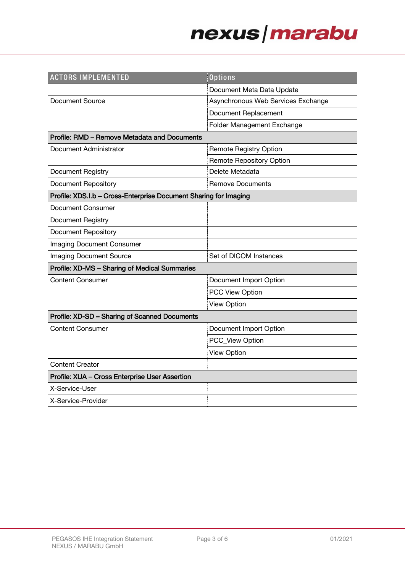# nexus/marabu

| <b>ACTORS IMPLEMENTED</b>                                        | <b>Options</b>                     |  |  |  |
|------------------------------------------------------------------|------------------------------------|--|--|--|
|                                                                  | Document Meta Data Update          |  |  |  |
| <b>Document Source</b>                                           | Asynchronous Web Services Exchange |  |  |  |
|                                                                  | Document Replacement               |  |  |  |
|                                                                  | Folder Management Exchange         |  |  |  |
| Profile: RMD - Remove Metadata and Documents                     |                                    |  |  |  |
| Document Administrator                                           | <b>Remote Registry Option</b>      |  |  |  |
|                                                                  | <b>Remote Repository Option</b>    |  |  |  |
| <b>Document Registry</b>                                         | Delete Metadata                    |  |  |  |
| <b>Document Repository</b>                                       | <b>Remove Documents</b>            |  |  |  |
| Profile: XDS.I.b - Cross-Enterprise Document Sharing for Imaging |                                    |  |  |  |
| <b>Document Consumer</b>                                         |                                    |  |  |  |
| <b>Document Registry</b>                                         |                                    |  |  |  |
| <b>Document Repository</b>                                       |                                    |  |  |  |
| Imaging Document Consumer                                        |                                    |  |  |  |
| <b>Imaging Document Source</b>                                   | Set of DICOM Instances             |  |  |  |
| Profile: XD-MS - Sharing of Medical Summaries                    |                                    |  |  |  |
| <b>Content Consumer</b>                                          | Document Import Option             |  |  |  |
|                                                                  | <b>PCC View Option</b>             |  |  |  |
|                                                                  | <b>View Option</b>                 |  |  |  |
| Profile: XD-SD - Sharing of Scanned Documents                    |                                    |  |  |  |
| <b>Content Consumer</b>                                          | Document Import Option             |  |  |  |
|                                                                  | PCC_View Option                    |  |  |  |
|                                                                  | <b>View Option</b>                 |  |  |  |
| <b>Content Creator</b>                                           |                                    |  |  |  |
| Profile: XUA - Cross Enterprise User Assertion                   |                                    |  |  |  |
| X-Service-User                                                   |                                    |  |  |  |
| X-Service-Provider                                               |                                    |  |  |  |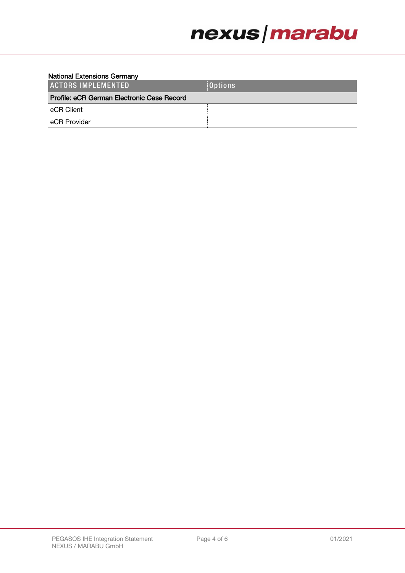## nexus | marabu

#### National Extensions Germany

| <b>ACTORS IMPLEMENTED</b>                  | <b>Options</b> |  |
|--------------------------------------------|----------------|--|
| Profile: eCR German Electronic Case Record |                |  |
| eCR Client                                 |                |  |
| eCR Provider                               |                |  |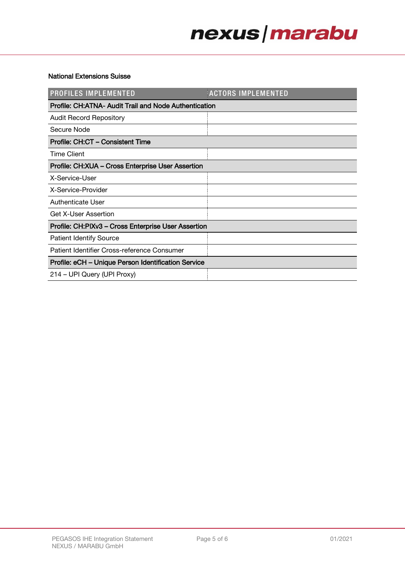# nexus | marabu

#### National Extensions Suisse

| <b>PROFILES IMPLEMENTED</b>                           | <b>ACTORS IMPLEMENTED</b> |  |  |  |
|-------------------------------------------------------|---------------------------|--|--|--|
| Profile: CH:ATNA- Audit Trail and Node Authentication |                           |  |  |  |
| <b>Audit Record Repository</b>                        |                           |  |  |  |
| Secure Node                                           |                           |  |  |  |
| Profile: CH:CT - Consistent Time                      |                           |  |  |  |
| <b>Time Client</b>                                    |                           |  |  |  |
| Profile: CH:XUA - Cross Enterprise User Assertion     |                           |  |  |  |
| X-Service-User                                        |                           |  |  |  |
| X-Service-Provider                                    |                           |  |  |  |
| Authenticate User                                     |                           |  |  |  |
| <b>Get X-User Assertion</b>                           |                           |  |  |  |
| Profile: CH:PIXv3 - Cross Enterprise User Assertion   |                           |  |  |  |
| <b>Patient Identify Source</b>                        |                           |  |  |  |
| Patient Identifier Cross-reference Consumer           |                           |  |  |  |
| Profile: eCH - Unique Person Identification Service   |                           |  |  |  |
| 214 – UPI Query (UPI Proxy)                           |                           |  |  |  |